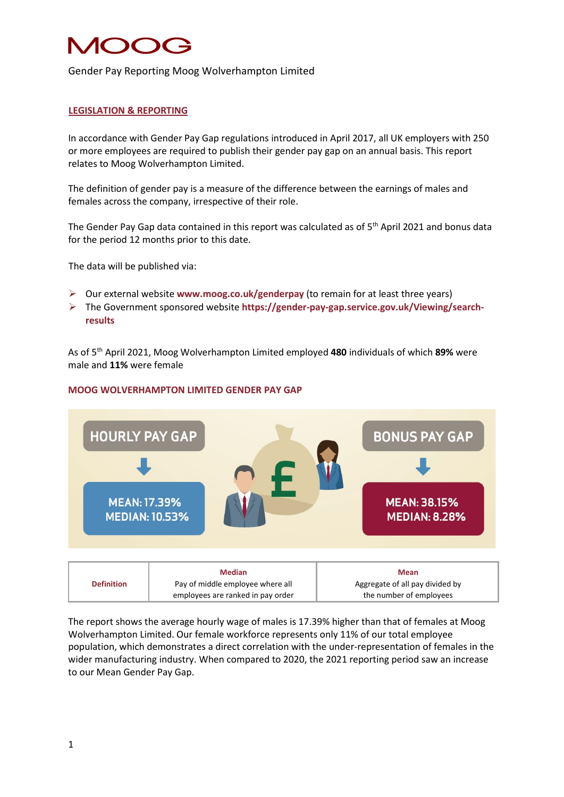# NOC 2

### Gender Pay Reporting Moog Wolverhampton Limited

#### **LEGISLATION & REPORTING**

In accordance with Gender Pay Gap regulations introduced in April 2017, all UK employers with 250 or more employees are required to publish their gender pay gap on an annual basis. This report relates to Moog Wolverhampton Limited.

The definition of gender pay is a measure of the difference between the earnings of males and females across the company, irrespective of their role.

The Gender Pay Gap data contained in this report was calculated as of 5<sup>th</sup> April 2021 and bonus data for the period 12 months prior to this date.

The data will be published via:

- Our external website **www.moog.co.uk/genderpay** (to remain for at least three years)
- The Government sponsored website **[https://gender-pay-gap.service.gov.uk/Viewing/search](https://gender-pay-gap.service.gov.uk/Viewing/search-results)[results](https://gender-pay-gap.service.gov.uk/Viewing/search-results)**

As of 5th April 2021, Moog Wolverhampton Limited employed **480** individuals of which **89%** were male and **11%** were female

#### **MOOG WOLVERHAMPTON LIMITED GENDER PAY GAP**



|                   | <b>Median</b>                     | Mean                            |
|-------------------|-----------------------------------|---------------------------------|
| <b>Definition</b> | Pay of middle employee where all  | Aggregate of all pay divided by |
|                   | employees are ranked in pay order | the number of employees         |

The report shows the average hourly wage of males is 17.39% higher than that of females at Moog Wolverhampton Limited. Our female workforce represents only 11% of our total employee population, which demonstrates a direct correlation with the under-representation of females in the wider manufacturing industry. When compared to 2020, the 2021 reporting period saw an increase to our Mean Gender Pay Gap.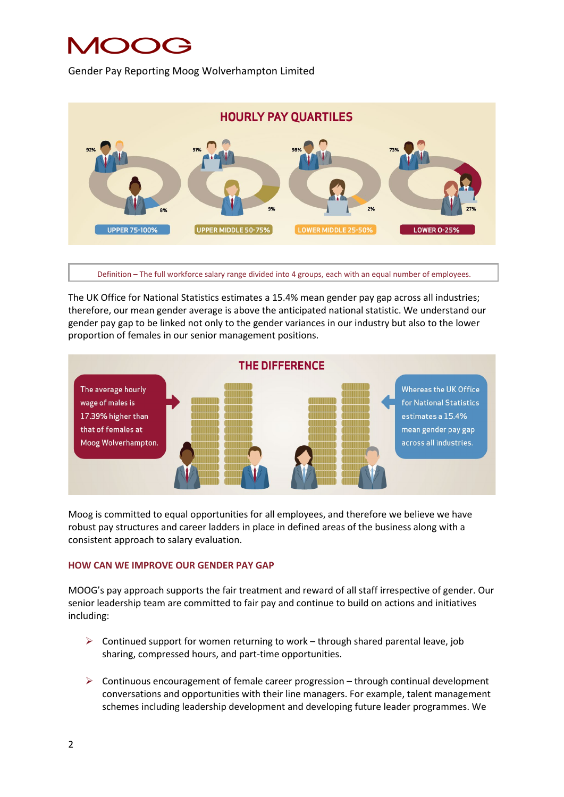## **MOOG**

Gender Pay Reporting Moog Wolverhampton Limited



Definition – The full workforce salary range divided into 4 groups, each with an equal number of employees.

The UK Office for National Statistics estimates a 15.4% mean gender pay gap across all industries; therefore, our mean gender average is above the anticipated national statistic. We understand our gender pay gap to be linked not only to the gender variances in our industry but also to the lower proportion of females in our senior management positions.



Moog is committed to equal opportunities for all employees, and therefore we believe we have robust pay structures and career ladders in place in defined areas of the business along with a consistent approach to salary evaluation.

### **HOW CAN WE IMPROVE OUR GENDER PAY GAP**

MOOG's pay approach supports the fair treatment and reward of all staff irrespective of gender. Our senior leadership team are committed to fair pay and continue to build on actions and initiatives including:

- $\triangleright$  Continued support for women returning to work through shared parental leave, job sharing, compressed hours, and part-time opportunities.
- $\triangleright$  Continuous encouragement of female career progression through continual development conversations and opportunities with their line managers. For example, talent management schemes including leadership development and developing future leader programmes. We